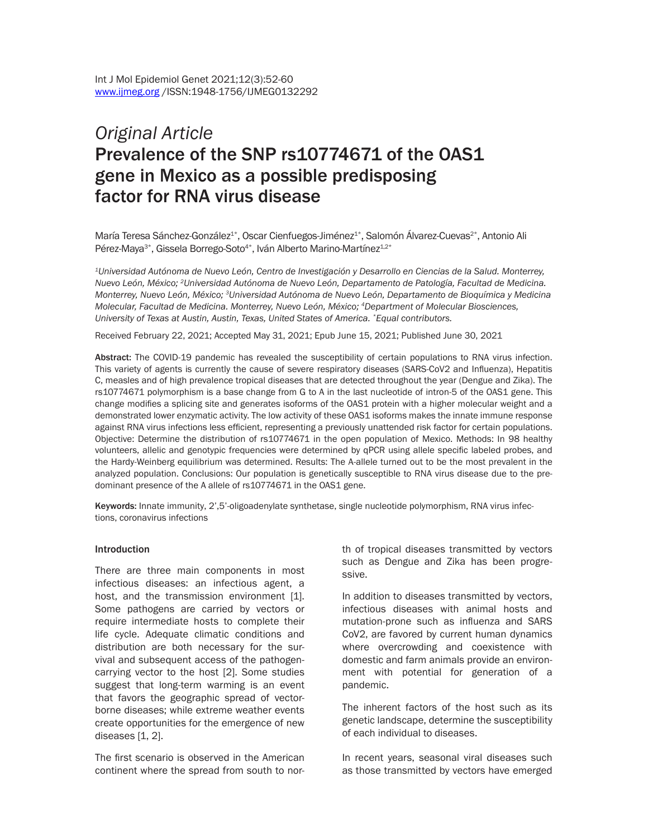# *Original Article*  Prevalence of the SNP rs10774671 of the OAS1 gene in Mexico as a possible predisposing factor for RNA virus disease

María Teresa Sánchez-González<sup>1\*</sup>, Oscar Cienfuegos-Jiménez<sup>1\*</sup>, Salomón Álvarez-Cuevas<sup>2\*</sup>, Antonio Ali Pérez-Maya<sup>3\*</sup>, Gissela Borrego-Soto<sup>4\*</sup>, Iván Alberto Marino-Martínez<sup>1,2\*</sup>

*1Universidad Autónoma de Nuevo León, Centro de Investigación y Desarrollo en Ciencias de la Salud. Monterrey, Nuevo León, México; 2Universidad Autónoma de Nuevo León, Departamento de Patología, Facultad de Medicina. Monterrey, Nuevo León, México; 3Universidad Autónoma de Nuevo León, Departamento de Bioquímica y Medicina Molecular, Facultad de Medicina. Monterrey, Nuevo León, México; 4Department of Molecular Biosciences, University of Texas at Austin, Austin, Texas, United States of America. \*Equal contributors.*

Received February 22, 2021; Accepted May 31, 2021; Epub June 15, 2021; Published June 30, 2021

Abstract: The COVID-19 pandemic has revealed the susceptibility of certain populations to RNA virus infection. This variety of agents is currently the cause of severe respiratory diseases (SARS-CoV2 and Influenza), Hepatitis C, measles and of high prevalence tropical diseases that are detected throughout the year (Dengue and Zika). The rs10774671 polymorphism is a base change from G to A in the last nucleotide of intron-5 of the OAS1 gene. This change modifies a splicing site and generates isoforms of the OAS1 protein with a higher molecular weight and a demonstrated lower enzymatic activity. The low activity of these OAS1 isoforms makes the innate immune response against RNA virus infections less efficient, representing a previously unattended risk factor for certain populations. Objective: Determine the distribution of rs10774671 in the open population of Mexico. Methods: In 98 healthy volunteers, allelic and genotypic frequencies were determined by qPCR using allele specific labeled probes, and the Hardy-Weinberg equilibrium was determined. Results: The A-allele turned out to be the most prevalent in the analyzed population. Conclusions: Our population is genetically susceptible to RNA virus disease due to the predominant presence of the A allele of rs10774671 in the OAS1 gene.

Keywords: Innate immunity, 2',5'-oligoadenylate synthetase, single nucleotide polymorphism, RNA virus infections, coronavirus infections

#### **Introduction**

There are three main components in most infectious diseases: an infectious agent, a host, and the transmission environment [1]. Some pathogens are carried by vectors or require intermediate hosts to complete their life cycle. Adequate climatic conditions and distribution are both necessary for the survival and subsequent access of the pathogencarrying vector to the host [2]. Some studies suggest that long-term warming is an event that favors the geographic spread of vectorborne diseases; while extreme weather events create opportunities for the emergence of new diseases [1, 2].

The first scenario is observed in the American continent where the spread from south to north of tropical diseases transmitted by vectors such as Dengue and Zika has been progressive.

In addition to diseases transmitted by vectors, infectious diseases with animal hosts and mutation-prone such as influenza and SARS CoV2, are favored by current human dynamics where overcrowding and coexistence with domestic and farm animals provide an environment with potential for generation of a pandemic.

The inherent factors of the host such as its genetic landscape, determine the susceptibility of each individual to diseases.

In recent years, seasonal viral diseases such as those transmitted by vectors have emerged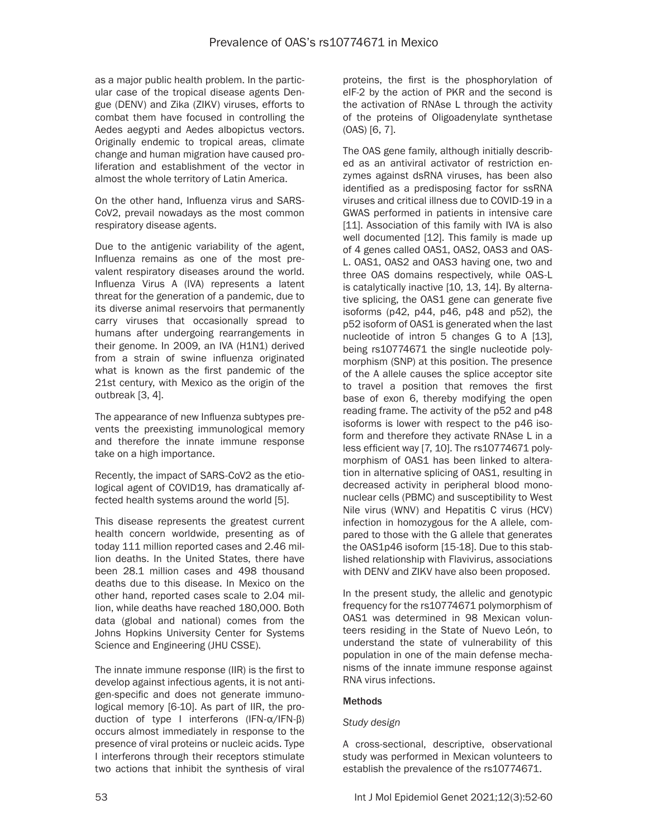as a major public health problem. In the particular case of the tropical disease agents Dengue (DENV) and Zika (ZIKV) viruses, efforts to combat them have focused in controlling the Aedes aegypti and Aedes albopictus vectors. Originally endemic to tropical areas, climate change and human migration have caused proliferation and establishment of the vector in almost the whole territory of Latin America.

On the other hand, Influenza virus and SARS-CoV2, prevail nowadays as the most common respiratory disease agents.

Due to the antigenic variability of the agent, Influenza remains as one of the most prevalent respiratory diseases around the world. Influenza Virus A (IVA) represents a latent threat for the generation of a pandemic, due to its diverse animal reservoirs that permanently carry viruses that occasionally spread to humans after undergoing rearrangements in their genome. In 2009, an IVA (H1N1) derived from a strain of swine influenza originated what is known as the first pandemic of the 21st century, with Mexico as the origin of the outbreak [3, 4].

The appearance of new Influenza subtypes prevents the preexisting immunological memory and therefore the innate immune response take on a high importance.

Recently, the impact of SARS-CoV2 as the etiological agent of COVID19, has dramatically affected health systems around the world [5].

This disease represents the greatest current health concern worldwide, presenting as of today 111 million reported cases and 2.46 million deaths. In the United States, there have been 28.1 million cases and 498 thousand deaths due to this disease. In Mexico on the other hand, reported cases scale to 2.04 million, while deaths have reached 180,000. Both data (global and national) comes from the Johns Hopkins University Center for Systems Science and Engineering (JHU CSSE).

The innate immune response (IIR) is the first to develop against infectious agents, it is not antigen-specific and does not generate immunological memory [6-10]. As part of IIR, the production of type I interferons (IFN-α/IFN-β) occurs almost immediately in response to the presence of viral proteins or nucleic acids. Type I interferons through their receptors stimulate two actions that inhibit the synthesis of viral

proteins, the first is the phosphorylation of eIF-2 by the action of PKR and the second is the activation of RNAse L through the activity of the proteins of Oligoadenylate synthetase (OAS) [6, 7].

The OAS gene family, although initially described as an antiviral activator of restriction enzymes against dsRNA viruses, has been also identified as a predisposing factor for ssRNA viruses and critical illness due to COVID-19 in a GWAS performed in patients in intensive care [11]. Association of this family with IVA is also well documented [12]. This family is made up of 4 genes called OAS1, OAS2, OAS3 and OAS-L. OAS1, OAS2 and OAS3 having one, two and three OAS domains respectively, while OAS-L is catalytically inactive [10, 13, 14]. By alternative splicing, the OAS1 gene can generate five isoforms (p42, p44, p46, p48 and p52), the p52 isoform of OAS1 is generated when the last nucleotide of intron 5 changes G to A [13], being rs10774671 the single nucleotide polymorphism (SNP) at this position. The presence of the A allele causes the splice acceptor site to travel a position that removes the first base of exon 6, thereby modifying the open reading frame. The activity of the p52 and p48 isoforms is lower with respect to the p46 isoform and therefore they activate RNAse L in a less efficient way [7, 10]. The rs10774671 polymorphism of OAS1 has been linked to alteration in alternative splicing of OAS1, resulting in decreased activity in peripheral blood mononuclear cells (PBMC) and susceptibility to West Nile virus (WNV) and Hepatitis C virus (HCV) infection in homozygous for the A allele, compared to those with the G allele that generates the OAS1p46 isoform [15-18]. Due to this stablished relationship with Flavivirus, associations with DENV and ZIKV have also been proposed.

In the present study, the allelic and genotypic frequency for the rs10774671 polymorphism of OAS1 was determined in 98 Mexican volunteers residing in the State of Nuevo León, to understand the state of vulnerability of this population in one of the main defense mechanisms of the innate immune response against RNA virus infections.

#### **Methods**

#### *Study design*

A cross-sectional, descriptive, observational study was performed in Mexican volunteers to establish the prevalence of the rs10774671.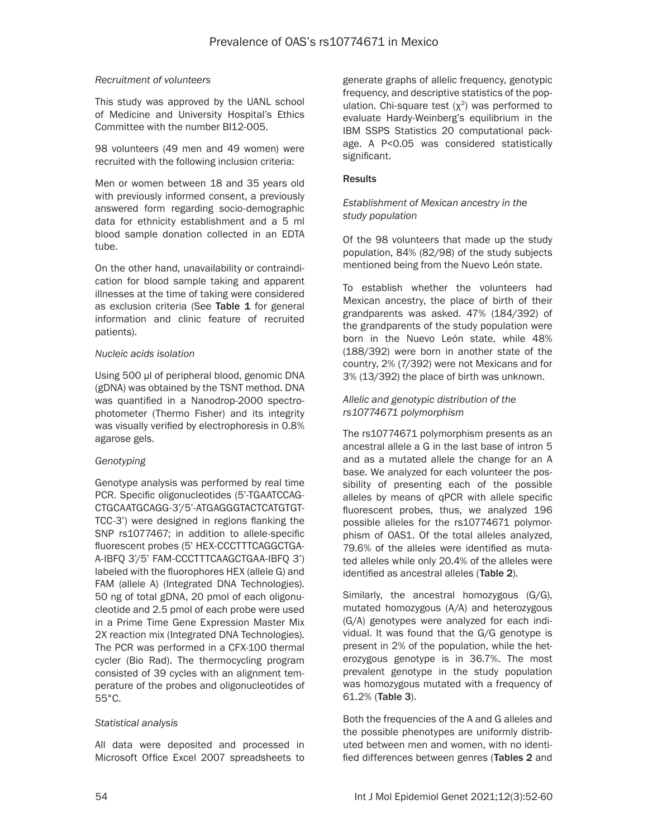#### *Recruitment of volunteers*

This study was approved by the UANL school of Medicine and University Hospital's Ethics Committee with the number BI12-005.

98 volunteers (49 men and 49 women) were recruited with the following inclusion criteria:

Men or women between 18 and 35 years old with previously informed consent, a previously answered form regarding socio-demographic data for ethnicity establishment and a 5 ml blood sample donation collected in an EDTA tube.

On the other hand, unavailability or contraindication for blood sample taking and apparent illnesses at the time of taking were considered as exclusion criteria (See Table 1 for general information and clinic feature of recruited patients).

#### *Nucleic acids isolation*

Using 500 µl of peripheral blood, genomic DNA (gDNA) was obtained by the TSNT method. DNA was quantified in a Nanodrop-2000 spectrophotometer (Thermo Fisher) and its integrity was visually verified by electrophoresis in 0.8% agarose gels.

#### *Genotyping*

Genotype analysis was performed by real time PCR. Specific oligonucleotides (5'-TGAATCCAG-CTGCAATGCAGG-3'/5'-ATGAGGGTACTCATGTGT-TCC-3') were designed in regions flanking the SNP rs1077467; in addition to allele-specific fluorescent probes (5' HEX-CCCTTTCAGGCTGA-A-IBFQ 3'/5' FAM-CCCTTTCAAGCTGAA-IBFQ 3') labeled with the fluorophores HEX (allele G) and FAM (allele A) (Integrated DNA Technologies). 50 ng of total gDNA, 20 pmol of each oligonucleotide and 2.5 pmol of each probe were used in a Prime Time Gene Expression Master Mix 2X reaction mix (Integrated DNA Technologies). The PCR was performed in a CFX-100 thermal cycler (Bio Rad). The thermocycling program consisted of 39 cycles with an alignment temperature of the probes and oligonucleotides of 55°C.

#### *Statistical analysis*

All data were deposited and processed in Microsoft Office Excel 2007 spreadsheets to generate graphs of allelic frequency, genotypic frequency, and descriptive statistics of the population. Chi-square test  $(x^2)$  was performed to evaluate Hardy-Weinberg's equilibrium in the IBM SSPS Statistics 20 computational package. A P<0.05 was considered statistically significant.

#### **Results**

#### *Establishment of Mexican ancestry in the study population*

Of the 98 volunteers that made up the study population, 84% (82/98) of the study subjects mentioned being from the Nuevo León state.

To establish whether the volunteers had Mexican ancestry, the place of birth of their grandparents was asked. 47% (184/392) of the grandparents of the study population were born in the Nuevo León state, while 48% (188/392) were born in another state of the country, 2% (7/392) were not Mexicans and for 3% (13/392) the place of birth was unknown.

### *Allelic and genotypic distribution of the rs10774671 polymorphism*

The rs10774671 polymorphism presents as an ancestral allele a G in the last base of intron 5 and as a mutated allele the change for an A base. We analyzed for each volunteer the possibility of presenting each of the possible alleles by means of qPCR with allele specific fluorescent probes, thus, we analyzed 196 possible alleles for the rs10774671 polymorphism of OAS1. Of the total alleles analyzed, 79.6% of the alleles were identified as mutated alleles while only 20.4% of the alleles were identified as ancestral alleles (Table 2).

Similarly, the ancestral homozygous (G/G), mutated homozygous (A/A) and heterozygous (G/A) genotypes were analyzed for each individual. It was found that the G/G genotype is present in 2% of the population, while the heterozygous genotype is in 36.7%. The most prevalent genotype in the study population was homozygous mutated with a frequency of 61.2% (Table 3).

Both the frequencies of the A and G alleles and the possible phenotypes are uniformly distributed between men and women, with no identified differences between genres (Tables 2 and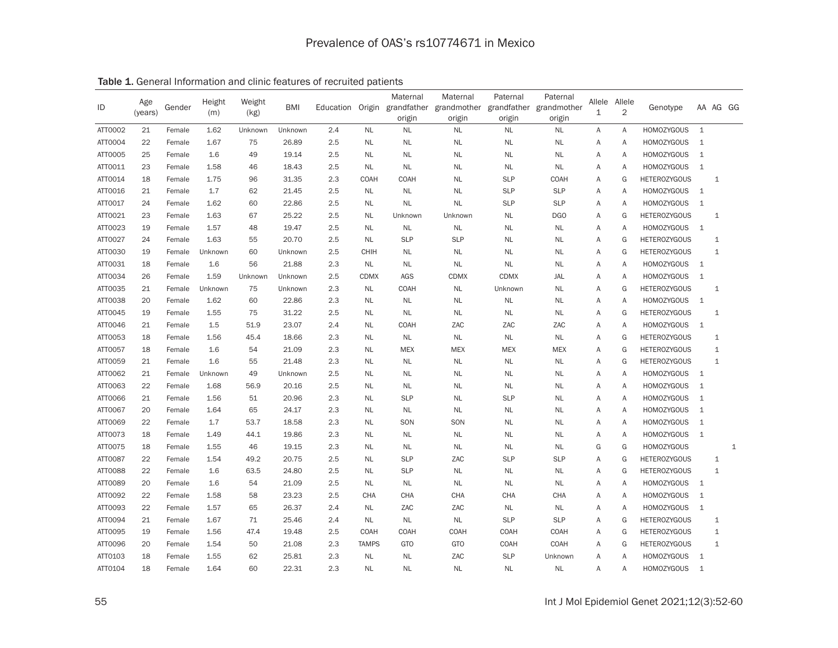| ID      | Age<br>(years) | Gender | Height<br>(m) | Weight<br>(kg) | <b>BMI</b> |     |              | Maternal<br>origin | Maternal<br>Education Origin grandfather grandmother grandfather<br>origin | Paternal<br>origin | Paternal<br>grandmother<br>origin | Allele<br>1 | Allele<br>2 | Genotype            |                | AA AG GG     |              |
|---------|----------------|--------|---------------|----------------|------------|-----|--------------|--------------------|----------------------------------------------------------------------------|--------------------|-----------------------------------|-------------|-------------|---------------------|----------------|--------------|--------------|
| ATT0002 | 21             | Female | 1.62          | Unknown        | Unknown    | 2.4 | <b>NL</b>    | <b>NL</b>          | <b>NL</b>                                                                  | <b>NL</b>          | <b>NL</b>                         | Α           | Α           | <b>HOMOZYGOUS</b>   | $\mathbf{1}$   |              |              |
| ATT0004 | 22             | Female | 1.67          | 75             | 26.89      | 2.5 | <b>NL</b>    | <b>NL</b>          | <b>NL</b>                                                                  | <b>NL</b>          | <b>NL</b>                         | Α           | A           | <b>HOMOZYGOUS</b>   | $\mathbf{1}$   |              |              |
| ATT0005 | 25             | Female | 1.6           | 49             | 19.14      | 2.5 | <b>NL</b>    | <b>NL</b>          | <b>NL</b>                                                                  | <b>NL</b>          | $\sf NL$                          | Α           | Α           | <b>HOMOZYGOUS</b>   | $\mathbf{1}$   |              |              |
| ATT0011 | 23             | Female | 1.58          | 46             | 18.43      | 2.5 | <b>NL</b>    | <b>NL</b>          | <b>NL</b>                                                                  | <b>NL</b>          | <b>NL</b>                         | Α           | Α           | <b>HOMOZYGOUS</b>   | $\mathbf{1}$   |              |              |
| ATT0014 | 18             | Female | 1.75          | 96             | 31.35      | 2.3 | <b>COAH</b>  | <b>COAH</b>        | <b>NL</b>                                                                  | <b>SLP</b>         | COAH                              | A           | G           | <b>HETEROZYGOUS</b> |                | $\mathbf 1$  |              |
| ATT0016 | 21             | Female | 1.7           | 62             | 21.45      | 2.5 | <b>NL</b>    | <b>NL</b>          | <b>NL</b>                                                                  | <b>SLP</b>         | <b>SLP</b>                        | Α           | Α           | <b>HOMOZYGOUS</b>   | $\mathbf{1}$   |              |              |
| ATT0017 | 24             | Female | 1.62          | 60             | 22.86      | 2.5 | <b>NL</b>    | <b>NL</b>          | <b>NL</b>                                                                  | <b>SLP</b>         | <b>SLP</b>                        | Α           | A           | <b>HOMOZYGOUS</b>   | $\mathbf{1}$   |              |              |
| ATT0021 | 23             | Female | 1.63          | 67             | 25.22      | 2.5 | <b>NL</b>    | Unknown            | Unknown                                                                    | <b>NL</b>          | DGO                               | A           | G           | <b>HETEROZYGOUS</b> |                | $\mathbf{1}$ |              |
| ATT0023 | 19             | Female | 1.57          | 48             | 19.47      | 2.5 | <b>NL</b>    | <b>NL</b>          | <b>NL</b>                                                                  | <b>NL</b>          | <b>NL</b>                         | Α           | A           | <b>HOMOZYGOUS</b>   | $\mathbf{1}$   |              |              |
| ATT0027 | 24             | Female | 1.63          | 55             | 20.70      | 2.5 | <b>NL</b>    | <b>SLP</b>         | <b>SLP</b>                                                                 | <b>NL</b>          | <b>NL</b>                         | A           | G           | <b>HETEROZYGOUS</b> |                | $\mathbf{1}$ |              |
| ATT0030 | 19             | Female | Unknown       | 60             | Unknown    | 2.5 | <b>CHIH</b>  | <b>NL</b>          | <b>NL</b>                                                                  | <b>NL</b>          | $\sf NL$                          | Α           | G           | <b>HETEROZYGOUS</b> |                | $\mathbf{1}$ |              |
| ATT0031 | 18             | Female | 1.6           | 56             | 21.88      | 2.3 | <b>NL</b>    | <b>NL</b>          | <b>NL</b>                                                                  | <b>NL</b>          | <b>NL</b>                         | A           | A           | <b>HOMOZYGOUS</b>   | $\mathbf{1}$   |              |              |
| ATT0034 | 26             | Female | 1.59          | Unknown        | Unknown    | 2.5 | <b>CDMX</b>  | AGS                | <b>CDMX</b>                                                                | <b>CDMX</b>        | JAL                               | A           | A           | <b>HOMOZYGOUS</b>   | $\mathbf{1}$   |              |              |
| ATT0035 | 21             | Female | Unknown       | 75             | Unknown    | 2.3 | <b>NL</b>    | <b>COAH</b>        | <b>NL</b>                                                                  | Unknown            | <b>NL</b>                         | Α           | G           | <b>HETEROZYGOUS</b> |                | $\mathbf 1$  |              |
| ATT0038 | 20             | Female | 1.62          | 60             | 22.86      | 2.3 | <b>NL</b>    | <b>NL</b>          | <b>NL</b>                                                                  | <b>NL</b>          | <b>NL</b>                         | Α           | Α           | <b>HOMOZYGOUS</b>   | $\overline{1}$ |              |              |
| ATT0045 | 19             | Female | 1.55          | 75             | 31.22      | 2.5 | <b>NL</b>    | <b>NL</b>          | <b>NL</b>                                                                  | <b>NL</b>          | <b>NL</b>                         | Α           | G           | <b>HETEROZYGOUS</b> |                | $\mathbf{1}$ |              |
| ATT0046 | 21             | Female | 1.5           | 51.9           | 23.07      | 2.4 | <b>NL</b>    | <b>COAH</b>        | ZAC                                                                        | ZAC                | ZAC                               | Α           | A           | <b>HOMOZYGOUS</b>   | $\overline{1}$ |              |              |
| ATT0053 | 18             | Female | 1.56          | 45.4           | 18.66      | 2.3 | <b>NL</b>    | <b>NL</b>          | <b>NL</b>                                                                  | <b>NL</b>          | <b>NL</b>                         | Α           | G           | <b>HETEROZYGOUS</b> |                | $\mathbf{1}$ |              |
| ATT0057 | 18             | Female | 1.6           | 54             | 21.09      | 2.3 | <b>NL</b>    | <b>MEX</b>         | <b>MEX</b>                                                                 | <b>MEX</b>         | <b>MEX</b>                        | Α           | G           | <b>HETEROZYGOUS</b> |                | $\mathbf{1}$ |              |
| ATT0059 | 21             | Female | 1.6           | 55             | 21.48      | 2.3 | <b>NL</b>    | <b>NL</b>          | <b>NL</b>                                                                  | <b>NL</b>          | <b>NL</b>                         | Α           | G           | <b>HETEROZYGOUS</b> |                | $\mathbf{1}$ |              |
| ATT0062 | 21             | Female | Unknown       | 49             | Unknown    | 2.5 | <b>NL</b>    | <b>NL</b>          | <b>NL</b>                                                                  | <b>NL</b>          | <b>NL</b>                         | A           | A           | <b>HOMOZYGOUS</b>   | $\mathbf{1}$   |              |              |
| ATT0063 | 22             | Female | 1.68          | 56.9           | 20.16      | 2.5 | <b>NL</b>    | NL                 | <b>NL</b>                                                                  | <b>NL</b>          | <b>NL</b>                         | Α           | Α           | <b>HOMOZYGOUS</b>   | $\mathbf{1}$   |              |              |
| ATT0066 | 21             | Female | 1.56          | 51             | 20.96      | 2.3 | <b>NL</b>    | <b>SLP</b>         | <b>NL</b>                                                                  | <b>SLP</b>         | <b>NL</b>                         | Α           | Α           | <b>HOMOZYGOUS</b>   | $\mathbf{1}$   |              |              |
| ATT0067 | 20             | Female | 1.64          | 65             | 24.17      | 2.3 | <b>NL</b>    | <b>NL</b>          | <b>NL</b>                                                                  | <b>NL</b>          | <b>NL</b>                         | Α           | Α           | <b>HOMOZYGOUS</b>   | 1              |              |              |
| ATT0069 | 22             | Female | 1.7           | 53.7           | 18.58      | 2.3 | <b>NL</b>    | SON                | SON                                                                        | <b>NL</b>          | <b>NL</b>                         | Α           | Α           | <b>HOMOZYGOUS</b>   | $\mathbf{1}$   |              |              |
| ATT0073 | 18             | Female | 1.49          | 44.1           | 19.86      | 2.3 | <b>NL</b>    | NL                 | <b>NL</b>                                                                  | <b>NL</b>          | <b>NL</b>                         | A           | A           | <b>HOMOZYGOUS</b>   | 1              |              |              |
| ATT0075 | 18             | Female | 1.55          | 46             | 19.15      | 2.3 | <b>NL</b>    | NL                 | NL                                                                         | <b>NL</b>          | <b>NL</b>                         | G           | G           | <b>HOMOZYGOUS</b>   |                |              | $\mathbf{1}$ |
| ATT0087 | 22             | Female | 1.54          | 49.2           | 20.75      | 2.5 | <b>NL</b>    | <b>SLP</b>         | ZAC                                                                        | <b>SLP</b>         | <b>SLP</b>                        | Α           | G           | <b>HETEROZYGOUS</b> |                | 1            |              |
| ATT0088 | 22             | Female | 1.6           | 63.5           | 24.80      | 2.5 | <b>NL</b>    | <b>SLP</b>         | <b>NL</b>                                                                  | NL                 | NL                                | A           | G           | <b>HETEROZYGOUS</b> |                | $\mathbf{1}$ |              |
| ATT0089 | 20             | Female | 1.6           | 54             | 21.09      | 2.5 | <b>NL</b>    | NL                 | <b>NL</b>                                                                  | <b>NL</b>          | <b>NL</b>                         | Α           | Α           | <b>HOMOZYGOUS</b>   | $\mathbf{1}$   |              |              |
| ATT0092 | 22             | Female | 1.58          | 58             | 23.23      | 2.5 | <b>CHA</b>   | CHA                | CHA                                                                        | CHA                | CHA                               | A           | A           | <b>HOMOZYGOUS</b>   | $\mathbf{1}$   |              |              |
| ATT0093 | 22             | Female | 1.57          | 65             | 26.37      | 2.4 | <b>NL</b>    | ZAC                | ZAC                                                                        | <b>NL</b>          | <b>NL</b>                         | Α           | Α           | <b>HOMOZYGOUS</b>   | $\mathbf{1}$   |              |              |
| ATT0094 | 21             | Female | 1.67          | 71             | 25.46      | 2.4 | <b>NL</b>    | <b>NL</b>          | <b>NL</b>                                                                  | <b>SLP</b>         | <b>SLP</b>                        | Α           | G           | <b>HETEROZYGOUS</b> |                | 1            |              |
| ATT0095 | 19             | Female | 1.56          | 47.4           | 19.48      | 2.5 | COAH         | COAH               | COAH                                                                       | COAH               | COAH                              | Α           | G           | <b>HETEROZYGOUS</b> |                | $\mathbf{1}$ |              |
| ATT0096 | 20             | Female | 1.54          | 50             | 21.08      | 2.3 | <b>TAMPS</b> | <b>GTO</b>         | <b>GTO</b>                                                                 | <b>COAH</b>        | COAH                              | Α           | G           | <b>HETEROZYGOUS</b> |                | $\mathbf{1}$ |              |
| ATT0103 | 18             | Female | 1.55          | 62             | 25.81      | 2.3 | <b>NL</b>    | <b>NL</b>          | ZAC                                                                        | <b>SLP</b>         | Unknown                           | A           | A           | <b>HOMOZYGOUS</b>   | 1              |              |              |
| ATT0104 | 18             | Female | 1.64          | 60             | 22.31      | 2.3 | <b>NL</b>    | <b>NL</b>          | <b>NL</b>                                                                  | <b>NL</b>          | NL                                | A           | A           | <b>HOMOZYGOUS</b>   | $\mathbf{1}$   |              |              |

Table 1. General Information and clinic features of recruited patients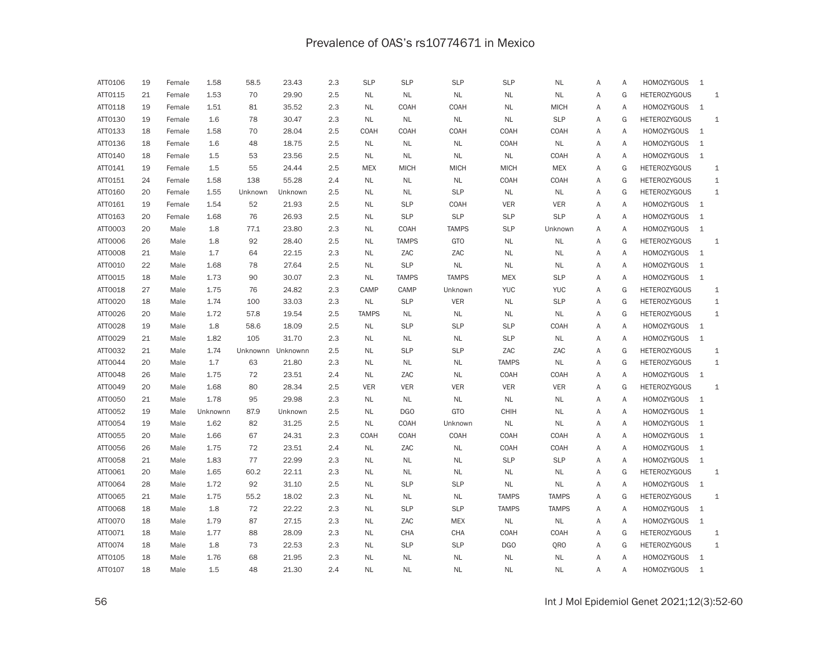# Prevalence of OAS's rs10774671 in Mexico

| ATT0106 | 19 | Female | 1.58     | 58.5     | 23.43    | 2.3 | <b>SLP</b>   | <b>SLP</b>   | <b>SLP</b>   | <b>SLP</b>   | <b>NL</b>    | Α | Α | <b>HOMOZYGOUS</b>   | $\mathbf{1}$ |              |
|---------|----|--------|----------|----------|----------|-----|--------------|--------------|--------------|--------------|--------------|---|---|---------------------|--------------|--------------|
| ATT0115 | 21 | Female | 1.53     | 70       | 29.90    | 2.5 | <b>NL</b>    | <b>NL</b>    | <b>NL</b>    | <b>NL</b>    | <b>NL</b>    | Α | G | <b>HETEROZYGOUS</b> |              | $\mathbf{1}$ |
| ATT0118 | 19 | Female | 1.51     | 81       | 35.52    | 2.3 | <b>NL</b>    | COAH         | COAH         | <b>NL</b>    | <b>MICH</b>  | Α | Α | <b>HOMOZYGOUS</b>   | $\mathbf{1}$ |              |
| ATT0130 | 19 | Female | 1.6      | 78       | 30.47    | 2.3 | <b>NL</b>    | <b>NL</b>    | <b>NL</b>    | <b>NL</b>    | <b>SLP</b>   | Α | G | <b>HETEROZYGOUS</b> |              | $\mathbf{1}$ |
| ATT0133 | 18 | Female | 1.58     | 70       | 28.04    | 2.5 | COAH         | COAH         | COAH         | COAH         | COAH         | Α | Α | <b>HOMOZYGOUS</b>   | $\mathbf{1}$ |              |
| ATT0136 | 18 | Female | 1.6      | 48       | 18.75    | 2.5 | <b>NL</b>    | <b>NL</b>    | <b>NL</b>    | COAH         | <b>NL</b>    | Α | A | <b>HOMOZYGOUS</b>   | $\mathbf{1}$ |              |
| ATT0140 | 18 | Female | 1.5      | 53       | 23.56    | 2.5 | <b>NL</b>    | NL           | NL           | <b>NL</b>    | <b>COAH</b>  | Α | Α | <b>HOMOZYGOUS</b>   | $\mathbf{1}$ |              |
| ATT0141 | 19 | Female | 1.5      | 55       | 24.44    | 2.5 | <b>MEX</b>   | <b>MICH</b>  | <b>MICH</b>  | <b>MICH</b>  | <b>MEX</b>   | A | G | <b>HETEROZYGOUS</b> |              | $\mathbf{1}$ |
| ATT0151 | 24 | Female | 1.58     | 138      | 55.28    | 2.4 | <b>NL</b>    | <b>NL</b>    | <b>NL</b>    | COAH         | COAH         | Α | G | <b>HETEROZYGOUS</b> |              | $\mathtt 1$  |
| ATT0160 | 20 | Female | 1.55     | Unknown  | Unknown  | 2.5 | <b>NL</b>    | <b>NL</b>    | <b>SLP</b>   | <b>NL</b>    | $\sf NL$     | Α | G | <b>HETEROZYGOUS</b> |              | $\mathbf{1}$ |
| ATT0161 | 19 | Female | 1.54     | 52       | 21.93    | 2.5 | <b>NL</b>    | <b>SLP</b>   | <b>COAH</b>  | <b>VER</b>   | <b>VER</b>   | Α | A | <b>HOMOZYGOUS</b>   | $\mathbf{1}$ |              |
| ATT0163 | 20 | Female | 1.68     | 76       | 26.93    | 2.5 | <b>NL</b>    | <b>SLP</b>   | <b>SLP</b>   | <b>SLP</b>   | <b>SLP</b>   | Α | Α | <b>HOMOZYGOUS</b>   | $1\,$        |              |
| ATT0003 | 20 | Male   | 1.8      | 77.1     | 23.80    | 2.3 | <b>NL</b>    | COAH         | <b>TAMPS</b> | <b>SLP</b>   | Unknown      | Α | Α | <b>HOMOZYGOUS</b>   | $\mathbf{1}$ |              |
| ATT0006 | 26 | Male   | 1.8      | 92       | 28.40    | 2.5 | <b>NL</b>    | <b>TAMPS</b> | <b>GTO</b>   | <b>NL</b>    | <b>NL</b>    | Α | G | <b>HETEROZYGOUS</b> |              | 1            |
| ATT0008 | 21 | Male   | 1.7      | 64       | 22.15    | 2.3 | <b>NL</b>    | ZAC          | ZAC          | NL           | NL           | Α | Α | <b>HOMOZYGOUS</b>   | $\mathbf{1}$ |              |
| ATT0010 | 22 | Male   | 1.68     | 78       | 27.64    | 2.5 | <b>NL</b>    | <b>SLP</b>   | <b>NL</b>    | <b>NL</b>    | <b>NL</b>    | Α | Α | <b>HOMOZYGOUS</b>   | $\mathbf{1}$ |              |
| ATT0015 | 18 | Male   | 1.73     | 90       | 30.07    | 2.3 | <b>NL</b>    | <b>TAMPS</b> | <b>TAMPS</b> | <b>MEX</b>   | <b>SLP</b>   | Α | Α | <b>HOMOZYGOUS</b>   | $\mathbf{1}$ |              |
| ATT0018 | 27 | Male   | 1.75     | 76       | 24.82    | 2.3 | CAMP         | CAMP         | Unknown      | <b>YUC</b>   | <b>YUC</b>   | A | G | <b>HETEROZYGOUS</b> |              | $\mathbf{1}$ |
| ATT0020 | 18 | Male   | 1.74     | 100      | 33.03    | 2.3 | <b>NL</b>    | <b>SLP</b>   | <b>VER</b>   | <b>NL</b>    | <b>SLP</b>   | Α | G | <b>HETEROZYGOUS</b> |              | $\mathbf{1}$ |
| ATT0026 | 20 | Male   | 1.72     | 57.8     | 19.54    | 2.5 | <b>TAMPS</b> | <b>NL</b>    | <b>NL</b>    | <b>NL</b>    | <b>NL</b>    | Α | G | <b>HETEROZYGOUS</b> |              | $\mathbf{1}$ |
| ATT0028 | 19 | Male   | 1.8      | 58.6     | 18.09    | 2.5 | <b>NL</b>    | <b>SLP</b>   | <b>SLP</b>   | <b>SLP</b>   | <b>COAH</b>  | Α | A | <b>HOMOZYGOUS</b>   | $\mathbf{1}$ |              |
| ATT0029 | 21 | Male   | 1.82     | 105      | 31.70    | 2.3 | <b>NL</b>    | <b>NL</b>    | <b>NL</b>    | <b>SLP</b>   | <b>NL</b>    | Α | Α | <b>HOMOZYGOUS</b>   | $\mathbf{1}$ |              |
| ATT0032 | 21 | Male   | 1.74     | Unknownn | Unknownn | 2.5 | <b>NL</b>    | <b>SLP</b>   | <b>SLP</b>   | ZAC          | ZAC          | Α | G | <b>HETEROZYGOUS</b> |              | $\mathbf 1$  |
| ATT0044 | 20 | Male   | 1.7      | 63       | 21.80    | 2.3 | <b>NL</b>    | NL           | NL           | <b>TAMPS</b> | NL           | Α | G | <b>HETEROZYGOUS</b> |              | 1            |
| ATT0048 | 26 | Male   | 1.75     | 72       | 23.51    | 2.4 | <b>NL</b>    | ZAC          | <b>NL</b>    | COAH         | COAH         | Α | A | <b>HOMOZYGOUS</b>   | $\mathbf{1}$ |              |
| ATT0049 | 20 | Male   | 1.68     | 80       | 28.34    | 2.5 | <b>VER</b>   | <b>VER</b>   | <b>VER</b>   | <b>VER</b>   | <b>VER</b>   | Α | G | <b>HETEROZYGOUS</b> |              | $1\,$        |
| ATT0050 | 21 | Male   | 1.78     | 95       | 29.98    | 2.3 | <b>NL</b>    | NL           | NL           | <b>NL</b>    | NL           | Α | Α | <b>HOMOZYGOUS</b>   | $\mathbf{1}$ |              |
| ATT0052 | 19 | Male   | Unknownn | 87.9     | Unknown  | 2.5 | <b>NL</b>    | DGO          | <b>GTO</b>   | <b>CHIH</b>  | <b>NL</b>    | Α | A | <b>HOMOZYGOUS</b>   | $\mathbf{1}$ |              |
| ATT0054 | 19 | Male   | 1.62     | 82       | 31.25    | 2.5 | <b>NL</b>    | COAH         | Unknown      | <b>NL</b>    | <b>NL</b>    | Α | Α | <b>HOMOZYGOUS</b>   | $1\,$        |              |
| ATT0055 | 20 | Male   | 1.66     | 67       | 24.31    | 2.3 | COAH         | COAH         | COAH         | COAH         | <b>COAH</b>  | Α | Α | <b>HOMOZYGOUS</b>   | $1\,$        |              |
| ATT0056 | 26 | Male   | 1.75     | 72       | 23.51    | 2.4 | <b>NL</b>    | ZAC          | <b>NL</b>    | COAH         | <b>COAH</b>  | Α | Α | <b>HOMOZYGOUS</b>   | $\mathbf{1}$ |              |
| ATT0058 | 21 | Male   | 1.83     | 77       | 22.99    | 2.3 | <b>NL</b>    | <b>NL</b>    | <b>NL</b>    | <b>SLP</b>   | <b>SLP</b>   | Α | Α | <b>HOMOZYGOUS</b>   | $\mathbf{1}$ |              |
| ATT0061 | 20 | Male   | 1.65     | 60.2     | 22.11    | 2.3 | <b>NL</b>    | <b>NL</b>    | <b>NL</b>    | <b>NL</b>    | <b>NL</b>    | Α | G | <b>HETEROZYGOUS</b> |              | $\mathbf{1}$ |
| ATT0064 | 28 | Male   | 1.72     | 92       | 31.10    | 2.5 | <b>NL</b>    | <b>SLP</b>   | <b>SLP</b>   | <b>NL</b>    | NL           | Α | Α | <b>HOMOZYGOUS</b>   | $\mathbf{1}$ |              |
| ATT0065 | 21 | Male   | 1.75     | 55.2     | 18.02    | 2.3 | <b>NL</b>    | <b>NL</b>    | <b>NL</b>    | <b>TAMPS</b> | <b>TAMPS</b> | A | G | <b>HETEROZYGOUS</b> |              | $\mathbf{1}$ |
| ATT0068 | 18 | Male   | 1.8      | 72       | 22.22    | 2.3 | <b>NL</b>    | <b>SLP</b>   | <b>SLP</b>   | <b>TAMPS</b> | <b>TAMPS</b> | Α | Α | <b>HOMOZYGOUS</b>   | $1\,$        |              |
| ATT0070 | 18 | Male   | 1.79     | 87       | 27.15    | 2.3 | <b>NL</b>    | ZAC          | <b>MEX</b>   | <b>NL</b>    | $\sf NL$     | Α | Α | <b>HOMOZYGOUS</b>   | $\mathbf{1}$ |              |
| ATT0071 | 18 | Male   | 1.77     | 88       | 28.09    | 2.3 | <b>NL</b>    | CHA          | <b>CHA</b>   | COAH         | COAH         | Α | G | <b>HETEROZYGOUS</b> |              | $\mathbf{1}$ |
| ATT0074 | 18 | Male   | 1.8      | 73       | 22.53    | 2.3 | <b>NL</b>    | <b>SLP</b>   | <b>SLP</b>   | <b>DGO</b>   | QRO          | Α | G | <b>HETEROZYGOUS</b> |              | $\mathbf{1}$ |
| ATT0105 | 18 | Male   | 1.76     | 68       | 21.95    | 2.3 | <b>NL</b>    | <b>NL</b>    | <b>NL</b>    | <b>NL</b>    | <b>NL</b>    | Α | A | <b>HOMOZYGOUS</b>   | $\mathbf{1}$ |              |
| ATT0107 | 18 | Male   | 1.5      | 48       | 21.30    | 2.4 | <b>NL</b>    | <b>NL</b>    | <b>NL</b>    | <b>NL</b>    | <b>NL</b>    | A | A | <b>HOMOZYGOUS</b>   | $\mathbf{1}$ |              |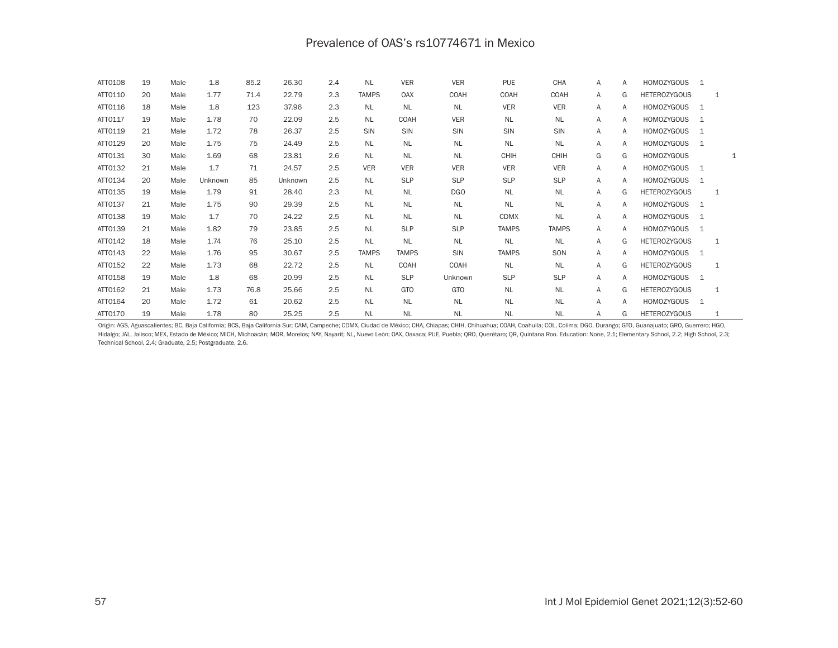## Prevalence of OAS's rs10774671 in Mexico

| ATT0108 | 19 | Male | 1.8     | 85.2 | 26.30   | 2.4 | <b>NL</b>    | <b>VER</b>   | <b>VER</b>  | <b>PUE</b>   | <b>CHA</b>   | A | A | <b>HOMOZYGOUS</b>   | 1 |   |   |
|---------|----|------|---------|------|---------|-----|--------------|--------------|-------------|--------------|--------------|---|---|---------------------|---|---|---|
| ATT0110 | 20 | Male | 1.77    | 71.4 | 22.79   | 2.3 | <b>TAMPS</b> | OAX          | <b>COAH</b> | <b>COAH</b>  | COAH         | A | G | <b>HETEROZYGOUS</b> |   | 1 |   |
| ATT0116 | 18 | Male | 1.8     | 123  | 37.96   | 2.3 | NL           | NL           | <b>NL</b>   | <b>VER</b>   | <b>VER</b>   | A | A | <b>HOMOZYGOUS</b>   | 1 |   |   |
| ATT0117 | 19 | Male | 1.78    | 70   | 22.09   | 2.5 | <b>NL</b>    | COAH         | <b>VER</b>  | <b>NL</b>    | <b>NL</b>    | Α | A | <b>HOMOZYGOUS</b>   | 1 |   |   |
| ATT0119 | 21 | Male | 1.72    | 78   | 26.37   | 2.5 | SIN          | SIN          | SIN         | SIN          | SIN          | Α | A | <b>HOMOZYGOUS</b>   | 1 |   |   |
| ATT0129 | 20 | Male | 1.75    | 75   | 24.49   | 2.5 | <b>NL</b>    | <b>NL</b>    | <b>NL</b>   | <b>NL</b>    | <b>NL</b>    | Α | A | <b>HOMOZYGOUS</b>   | 1 |   |   |
| ATT0131 | 30 | Male | 1.69    | 68   | 23.81   | 2.6 | <b>NL</b>    | <b>NL</b>    | <b>NL</b>   | <b>CHIH</b>  | <b>CHIH</b>  | G | G | <b>HOMOZYGOUS</b>   |   |   | 1 |
| ATT0132 | 21 | Male | 1.7     | 71   | 24.57   | 2.5 | <b>VER</b>   | <b>VER</b>   | <b>VER</b>  | <b>VER</b>   | <b>VER</b>   | Α | A | <b>HOMOZYGOUS</b>   | 1 |   |   |
| ATT0134 | 20 | Male | Unknown | 85   | Unknown | 2.5 | <b>NL</b>    | <b>SLP</b>   | <b>SLP</b>  | <b>SLP</b>   | <b>SLP</b>   | A | A | <b>HOMOZYGOUS</b>   | 1 |   |   |
| ATT0135 | 19 | Male | 1.79    | 91   | 28.40   | 2.3 | <b>NL</b>    | <b>NL</b>    | DGO         | <b>NL</b>    | <b>NL</b>    | Α | G | <b>HETEROZYGOUS</b> |   | 1 |   |
| ATT0137 | 21 | Male | 1.75    | 90   | 29.39   | 2.5 | <b>NL</b>    | <b>NL</b>    | <b>NL</b>   | <b>NL</b>    | <b>NL</b>    | A | A | <b>HOMOZYGOUS</b>   | 1 |   |   |
| ATT0138 | 19 | Male | 1.7     | 70   | 24.22   | 2.5 | <b>NL</b>    | <b>NL</b>    | <b>NL</b>   | <b>CDMX</b>  | <b>NL</b>    | A | A | <b>HOMOZYGOUS</b>   | 1 |   |   |
| ATT0139 | 21 | Male | 1.82    | 79   | 23.85   | 2.5 | <b>NL</b>    | <b>SLP</b>   | <b>SLP</b>  | <b>TAMPS</b> | <b>TAMPS</b> | A | A | <b>HOMOZYGOUS</b>   | 1 |   |   |
| ATT0142 | 18 | Male | 1.74    | 76   | 25.10   | 2.5 | <b>NL</b>    | <b>NL</b>    | <b>NL</b>   | NL           | <b>NL</b>    | Α | G | <b>HETEROZYGOUS</b> |   | 1 |   |
| ATT0143 | 22 | Male | 1.76    | 95   | 30.67   | 2.5 | <b>TAMPS</b> | <b>TAMPS</b> | <b>SIN</b>  | <b>TAMPS</b> | SON          | Α | A | <b>HOMOZYGOUS</b>   | 1 |   |   |
| ATT0152 | 22 | Male | 1.73    | 68   | 22.72   | 2.5 | <b>NL</b>    | COAH         | <b>COAH</b> | <b>NL</b>    | <b>NL</b>    | A | G | <b>HETEROZYGOUS</b> |   | 1 |   |
| ATT0158 | 19 | Male | 1.8     | 68   | 20.99   | 2.5 | <b>NL</b>    | <b>SLP</b>   | Unknown     | <b>SLP</b>   | <b>SLP</b>   | Α | A | <b>HOMOZYGOUS</b>   | 1 |   |   |
| ATT0162 | 21 | Male | 1.73    | 76.8 | 25.66   | 2.5 | <b>NL</b>    | <b>GTO</b>   | GTO         | <b>NL</b>    | <b>NL</b>    | Α | G | <b>HETEROZYGOUS</b> |   | 1 |   |
| ATT0164 | 20 | Male | 1.72    | 61   | 20.62   | 2.5 | <b>NL</b>    | <b>NL</b>    | <b>NL</b>   | <b>NL</b>    | <b>NL</b>    | Α | A | <b>HOMOZYGOUS</b>   | 1 |   |   |
| ATT0170 | 19 | Male | 1.78    | 80   | 25.25   | 2.5 | <b>NL</b>    | <b>NL</b>    | <b>NL</b>   | <b>NL</b>    | <b>NL</b>    | A | G | <b>HETEROZYGOUS</b> |   |   |   |

Origin: AGS, Aguascalientes; BC, Baja California; BCS, Baja California Sur; CAM, Campeche; CDMX, Ciudad de México; CHA, Chiapas; CHIH, Chihuahua; COAH, Coahuila; COL, Colima; DGO, Durango; GTO, Guanajuato; GRO, Guerrero; H Hidalgo; JAL, Jalisco; MEX, Estado de México; MICH, Michoacán; MOR, Morelos; NAY, Nayarit; NL, Nuevo León; OAX, Oaxaca; PUE, Puebla; QRO, Querétaro; QR, Quintana Roo. Education: None, 2.1; Elementary School, 2.2; High Scho Technical School, 2.4; Graduate, 2.5; Postgraduate, 2.6.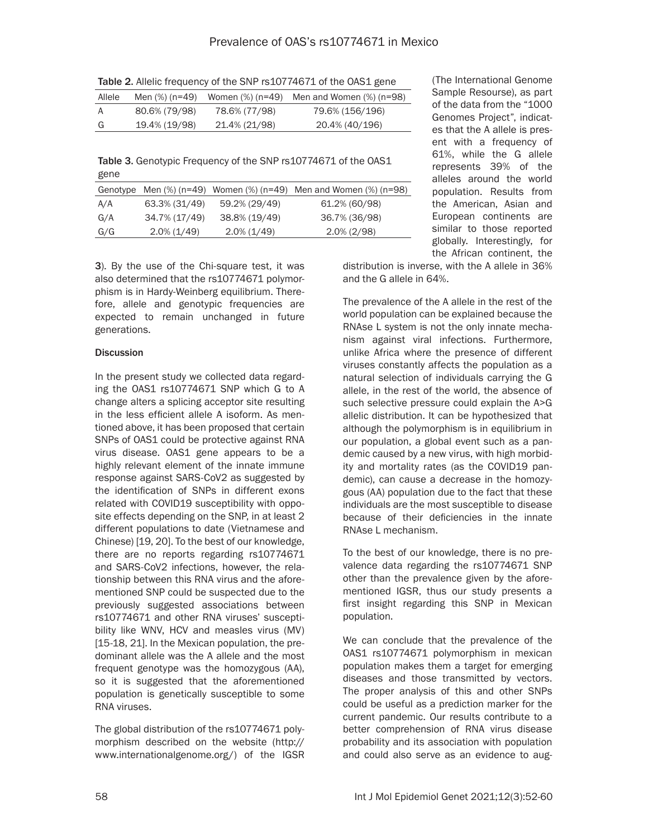| Allele | Men (%) (n=49) |               | Women $(\%)$ (n=49) Men and Women $(\%)$ (n=98) |
|--------|----------------|---------------|-------------------------------------------------|
| A      | 80.6% (79/98)  | 78.6% (77/98) | 79.6% (156/196)                                 |
| G      | 19.4% (19/98)  | 21.4% (21/98) | 20.4% (40/196)                                  |

Table 3. Genotypic Frequency of the SNP rs10774671 of the OAS1 gene

|     |                |                | Genotype Men $(\%)$ (n=49) Women $(\%)$ (n=49) Men and Women $(\%)$ (n=98) |
|-----|----------------|----------------|----------------------------------------------------------------------------|
| A/A | 63.3% (31/49)  | 59.2% (29/49)  | 61.2% (60/98)                                                              |
| G/A | 34.7% (17/49)  | 38.8% (19/49)  | 36.7% (36/98)                                                              |
| G/G | $2.0\%$ (1/49) | $2.0\%$ (1/49) | $2.0\%$ (2/98)                                                             |

(The International Genome Sample Resourse), as part of the data from the "1000 Genomes Project", indicates that the A allele is present with a frequency of 61%, while the G allele represents 39% of the alleles around the world population. Results from the American, Asian and European continents are similar to those reported globally. Interestingly, for the African continent, the

3). By the use of the Chi-square test, it was also determined that the rs10774671 polymorphism is in Hardy-Weinberg equilibrium. Therefore, allele and genotypic frequencies are expected to remain unchanged in future generations.

## **Discussion**

In the present study we collected data regarding the OAS1 rs10774671 SNP which G to A change alters a splicing acceptor site resulting in the less efficient allele A isoform. As mentioned above, it has been proposed that certain SNPs of OAS1 could be protective against RNA virus disease. OAS1 gene appears to be a highly relevant element of the innate immune response against SARS-CoV2 as suggested by the identification of SNPs in different exons related with COVID19 susceptibility with opposite effects depending on the SNP, in at least 2 different populations to date (Vietnamese and Chinese) [19, 20]. To the best of our knowledge, there are no reports regarding rs10774671 and SARS-CoV2 infections, however, the relationship between this RNA virus and the aforementioned SNP could be suspected due to the previously suggested associations between rs10774671 and other RNA viruses' susceptibility like WNV, HCV and measles virus (MV) [15-18, 21]. In the Mexican population, the predominant allele was the A allele and the most frequent genotype was the homozygous (AA), so it is suggested that the aforementioned population is genetically susceptible to some RNA viruses.

The global distribution of the rs10774671 polymorphism described on the website (http:// www.internationalgenome.org/) of the IGSR distribution is inverse, with the A allele in 36% and the G allele in 64%.

The prevalence of the A allele in the rest of the world population can be explained because the RNAse L system is not the only innate mechanism against viral infections. Furthermore, unlike Africa where the presence of different viruses constantly affects the population as a natural selection of individuals carrying the G allele, in the rest of the world, the absence of such selective pressure could explain the A>G allelic distribution. It can be hypothesized that although the polymorphism is in equilibrium in our population, a global event such as a pandemic caused by a new virus, with high morbidity and mortality rates (as the COVID19 pandemic), can cause a decrease in the homozygous (AA) population due to the fact that these individuals are the most susceptible to disease because of their deficiencies in the innate RNAse L mechanism.

To the best of our knowledge, there is no prevalence data regarding the rs10774671 SNP other than the prevalence given by the aforementioned IGSR, thus our study presents a first insight regarding this SNP in Mexican population.

We can conclude that the prevalence of the OAS1 rs10774671 polymorphism in mexican population makes them a target for emerging diseases and those transmitted by vectors. The proper analysis of this and other SNPs could be useful as a prediction marker for the current pandemic. Our results contribute to a better comprehension of RNA virus disease probability and its association with population and could also serve as an evidence to aug-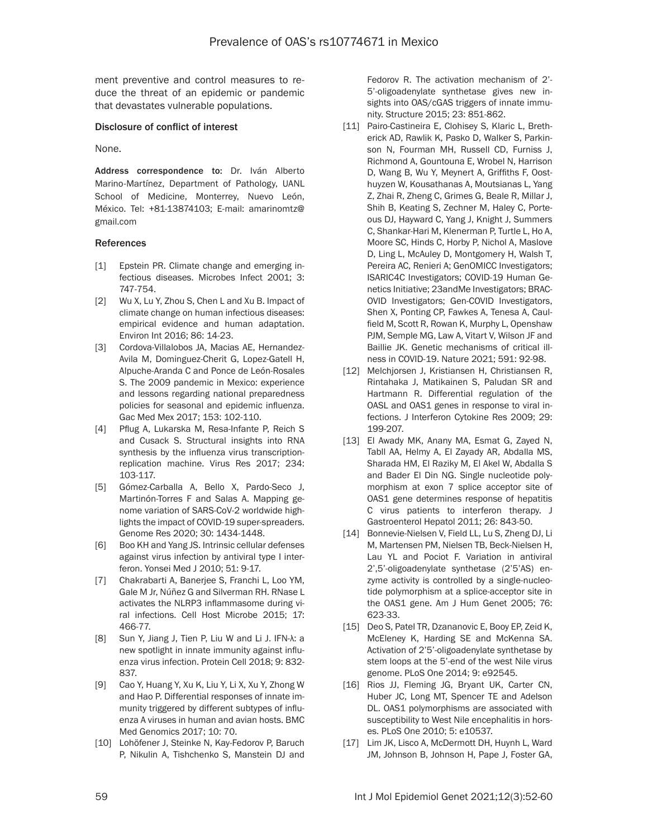ment preventive and control measures to reduce the threat of an epidemic or pandemic that devastates vulnerable populations.

#### Disclosure of conflict of interest

None.

Address correspondence to: Dr. Iván Alberto Marino-Martínez, Department of Pathology, UANL School of Medicine, Monterrey, Nuevo León, México. Tel: +81-13874103; E-mail: [amarinomtz@](mailto:amarinomtz@gmail.com) [gmail.com](mailto:amarinomtz@gmail.com)

#### **References**

- [1] Epstein PR. Climate change and emerging infectious diseases. Microbes Infect 2001; 3: 747-754.
- [2] Wu X, Lu Y, Zhou S, Chen L and Xu B. Impact of climate change on human infectious diseases: empirical evidence and human adaptation. Environ Int 2016; 86: 14-23.
- [3] Cordova-Villalobos JA, Macias AE, Hernandez-Avila M, Dominguez-Cherit G, Lopez-Gatell H, Alpuche-Aranda C and Ponce de León-Rosales S. The 2009 pandemic in Mexico: experience and lessons regarding national preparedness policies for seasonal and epidemic influenza. Gac Med Mex 2017; 153: 102-110.
- [4] Pflug A, Lukarska M, Resa-Infante P, Reich S and Cusack S. Structural insights into RNA synthesis by the influenza virus transcriptionreplication machine. Virus Res 2017; 234: 103-117.
- [5] Gómez-Carballa A, Bello X, Pardo-Seco J, Martinón-Torres F and Salas A. Mapping genome variation of SARS-CoV-2 worldwide highlights the impact of COVID-19 super-spreaders. Genome Res 2020; 30: 1434-1448.
- [6] Boo KH and Yang JS. Intrinsic cellular defenses against virus infection by antiviral type I interferon. Yonsei Med J 2010; 51: 9-17.
- [7] Chakrabarti A, Banerjee S, Franchi L, Loo YM, Gale M Jr, Núñez G and Silverman RH. RNase L activates the NLRP3 inflammasome during viral infections. Cell Host Microbe 2015; 17: 466-77.
- [8] Sun Y, Jiang J, Tien P, Liu W and Li J. IFN-λ: a new spotlight in innate immunity against influenza virus infection. Protein Cell 2018; 9: 832- 837.
- [9] Cao Y, Huang Y, Xu K, Liu Y, Li X, Xu Y, Zhong W and Hao P. Differential responses of innate immunity triggered by different subtypes of influenza A viruses in human and avian hosts. BMC Med Genomics 2017; 10: 70.
- [10] Lohöfener J, Steinke N, Kay-Fedorov P, Baruch P, Nikulin A, Tishchenko S, Manstein DJ and

Fedorov R. The activation mechanism of 2'- 5'-oligoadenylate synthetase gives new insights into OAS/cGAS triggers of innate immunity. Structure 2015; 23: 851-862.

- [11] Pairo-Castineira E, Clohisey S, Klaric L, Bretherick AD, Rawlik K, Pasko D, Walker S, Parkinson N, Fourman MH, Russell CD, Furniss J, Richmond A, Gountouna E, Wrobel N, Harrison D, Wang B, Wu Y, Meynert A, Griffiths F, Oosthuyzen W, Kousathanas A, Moutsianas L, Yang Z, Zhai R, Zheng C, Grimes G, Beale R, Millar J, Shih B, Keating S, Zechner M, Haley C, Porteous DJ, Hayward C, Yang J, Knight J, Summers C, Shankar-Hari M, Klenerman P, Turtle L, Ho A, Moore SC, Hinds C, Horby P, Nichol A, Maslove D, Ling L, McAuley D, Montgomery H, Walsh T, Pereira AC, Renieri A; GenOMICC Investigators; ISARIC4C Investigators; COVID-19 Human Genetics Initiative; 23andMe Investigators; BRAC-OVID Investigators; Gen-COVID Investigators, Shen X, Ponting CP, Fawkes A, Tenesa A, Caulfield M, Scott R, Rowan K, Murphy L, Openshaw PJM, Semple MG, Law A, Vitart V, Wilson JF and Baillie JK. Genetic mechanisms of critical illness in COVID-19. Nature 2021; 591: 92-98.
- [12] Melchjorsen J, Kristiansen H, Christiansen R, Rintahaka J, Matikainen S, Paludan SR and Hartmann R. Differential regulation of the OASL and OAS1 genes in response to viral infections. J Interferon Cytokine Res 2009; 29: 199-207.
- [13] El Awady MK, Anany MA, Esmat G, Zayed N, Tabll AA, Helmy A, El Zayady AR, Abdalla MS, Sharada HM, El Raziky M, El Akel W, Abdalla S and Bader El Din NG. Single nucleotide polymorphism at exon 7 splice acceptor site of OAS1 gene determines response of hepatitis C virus patients to interferon therapy. J Gastroenterol Hepatol 2011; 26: 843-50.
- [14] Bonnevie-Nielsen V, Field LL, Lu S, Zheng DJ, Li M, Martensen PM, Nielsen TB, Beck-Nielsen H, Lau YL and Pociot F. Variation in antiviral 2',5'-oligoadenylate synthetase (2'5'AS) enzyme activity is controlled by a single-nucleotide polymorphism at a splice-acceptor site in the OAS1 gene. Am J Hum Genet 2005; 76: 623-33.
- [15] Deo S, Patel TR, Dzananovic E, Booy EP, Zeid K, McEleney K, Harding SE and McKenna SA. Activation of 2'5'-oligoadenylate synthetase by stem loops at the 5'-end of the west Nile virus genome. PLoS One 2014; 9: e92545.
- [16] Rios JJ, Fleming JG, Bryant UK, Carter CN, Huber JC, Long MT, Spencer TE and Adelson DL. 0AS1 polymorphisms are associated with susceptibility to West Nile encephalitis in horses. PLoS One 2010; 5: e10537.
- [17] Lim JK, Lisco A, McDermott DH, Huynh L, Ward JM, Johnson B, Johnson H, Pape J, Foster GA,